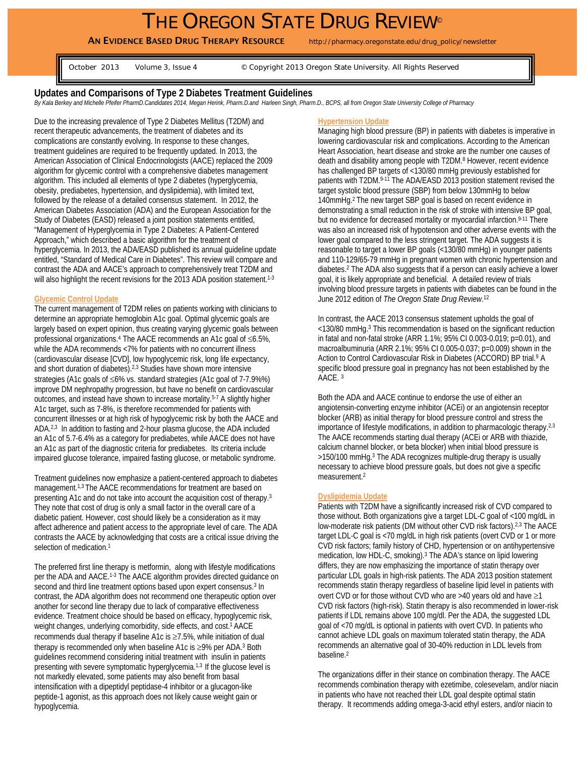# THE OREGON STATE DRUG REVIEW®

AN EVIDENCE BASED DRUG THERAPY RESOURCE http://pharmacy.oregonstate.edu/drug\_policy/newsletter

October 2013 Volume 3, Issue 4 © Copyright 2013 Oregon State University. All Rights Reserved

# **Updates and Comparisons of Type 2 Diabetes Treatment Guidelines**

*By Kala Berkey and Michelle Pfeifer PharmD.Candidates 2014, Megan Herink, Pharm.D.and Harleen Singh, Pharm.D., BCPS, all from Oregon State University College of Pharmacy* 

Due to the increasing prevalence of Type 2 Diabetes Mellitus (T2DM) and recent therapeutic advancements, the treatment of diabetes and its complications are constantly evolving. In response to these changes, treatment guidelines are required to be frequently updated. In 2013, the American Association of Clinical Endocrinologists (AACE) replaced the 2009 algorithm for glycemic control with a comprehensive diabetes management algorithm. This included all elements of type 2 diabetes (hyperglycemia, obesity, prediabetes, hypertension, and dyslipidemia), with limited text, followed by the release of a detailed consensus statement. In 2012, the American Diabetes Association (ADA) and the European Association for the Study of Diabetes (EASD) released a joint position statements entitled, "Management of Hyperglycemia in Type 2 Diabetes: A Patient-Centered Approach," which described a basic algorithm for the treatment of hyperglycemia. In 2013, the ADA/EASD published its annual guideline update entitled, "Standard of Medical Care in Diabetes". This review will compare and contrast the ADA and AACE's approach to comprehensively treat T2DM and will also highlight the recent revisions for the 2013 ADA position statement.<sup>1-3</sup>

# **Glycemic Control Update**

The current management of T2DM relies on patients working with clinicians to determine an appropriate hemoglobin A1c goal. Optimal glycemic goals are largely based on expert opinion, thus creating varying glycemic goals between professional organizations.4 The AACE recommends an A1c goal of ≤6.5%, while the ADA recommends <7% for patients with no concurrent illness (cardiovascular disease [CVD], low hypoglycemic risk, long life expectancy, and short duration of diabetes).2,3 Studies have shown more intensive strategies (A1c goals of ≤6% vs. standard strategies (A1c goal of 7-7.9%%) improve DM nephropathy progression, but have no benefit on cardiovascular outcomes, and instead have shown to increase mortality.5-7 A slightly higher A1c target, such as 7-8%, is therefore recommended for patients with concurrent illnesses or at high risk of hypoglycemic risk by both the AACE and ADA.2,3 In addition to fasting and 2-hour plasma glucose, the ADA included an A1c of 5.7-6.4% as a category for prediabetes, while AACE does not have an A1c as part of the diagnostic criteria for prediabetes. Its criteria include impaired glucose tolerance, impaired fasting glucose, or metabolic syndrome.

Treatment guidelines now emphasize a patient-centered approach to diabetes management.1,3 The AACE recommendations for treatment are based on presenting A1c and do not take into account the acquisition cost of therapy.3 They note that cost of drug is only a small factor in the overall care of a diabetic patient. However, cost should likely be a consideration as it may affect adherence and patient access to the appropriate level of care. The ADA contrasts the AACE by acknowledging that costs are a critical issue driving the selection of medication.<sup>1</sup>

The preferred first line therapy is metformin, along with lifestyle modifications per the ADA and AACE.1-3 The AACE algorithm provides directed guidance on second and third line treatment options based upon expert consensus.<sup>3</sup> In contrast, the ADA algorithm does not recommend one therapeutic option over another for second line therapy due to lack of comparative effectiveness evidence. Treatment choice should be based on efficacy, hypoglycemic risk, weight changes, underlying comorbidity, side effects, and cost.<sup>1</sup> AACE recommends dual therapy if baseline A1c is ≥7.5%, while initiation of dual therapy is recommended only when baseline A1c is ≥9% per ADA.3 Both guidelines recommend considering initial treatment with insulin in patients presenting with severe symptomatic hyperglycemia.<sup>1,3</sup> If the glucose level is not markedly elevated, some patients may also benefit from basal intensification with a dipeptidyl peptidase-4 inhibitor or a glucagon-like peptide-1 agonist, as this approach does not likely cause weight gain or hypoglycemia.

#### **Hypertension Update**

Managing high blood pressure (BP) in patients with diabetes is imperative in lowering cardiovascular risk and complications. According to the American Heart Association, heart disease and stroke are the number one causes of death and disability among people with T2DM.<sup>8</sup> However, recent evidence has challenged BP targets of <130/80 mmHg previously established for patients with T2DM.<sup>9-11</sup> The ADA/EASD 2013 position statement revised the target systolic blood pressure (SBP) from below 130mmHg to below 140mmHg.2 The new target SBP goal is based on recent evidence in demonstrating a small reduction in the risk of stroke with intensive BP goal, but no evidence for decreased mortality or myocardial infarction.<sup>9-11</sup> There was also an increased risk of hypotension and other adverse events with the lower goal compared to the less stringent target. The ADA suggests it is reasonable to target a lower BP goals (<130/80 mmHg) in younger patients and 110-129/65-79 mmHg in pregnant women with chronic hypertension and diabetes.2 The ADA also suggests that if a person can easily achieve a lower goal, it is likely appropriate and beneficial. A detailed review of trials involving blood pressure targets in patients with diabetes can be found in the June 2012 edition of *The Oregon State Drug Review*. 12

In contrast, the AACE 2013 consensus statement upholds the goal of <130/80 mmHg.3 This recommendation is based on the significant reduction in fatal and non-fatal stroke (ARR 1.1%; 95% CI 0.003-0.019; p=0.01), and macroalbuminuria (ARR 2.1%; 95% CI 0.005-0.037; p=0.009) shown in the Action to Control Cardiovascular Risk in Diabetes (ACCORD) BP trial.<sup>9</sup> A specific blood pressure goal in pregnancy has not been established by the AACE. 3

Both the ADA and AACE continue to endorse the use of either an angiotensin-converting enzyme inhibitor (ACEi) or an angiotensin receptor blocker (ARB) as initial therapy for blood pressure control and stress the importance of lifestyle modifications, in addition to pharmacologic therapy.2,3 The AACE recommends starting dual therapy (ACEi or ARB with thiazide, calcium channel blocker, or beta blocker) when initial blood pressure is >150/100 mmHg.3 The ADA recognizes multiple-drug therapy is usually necessary to achieve blood pressure goals, but does not give a specific measurement.2

#### **Dyslipidemia Update**

Patients with T2DM have a significantly increased risk of CVD compared to those without. Both organizations give a target LDL-C goal of <100 mg/dL in low-moderate risk patients (DM without other CVD risk factors).<sup>2,3</sup> The AACE target LDL-C goal is <70 mg/dL in high risk patients (overt CVD or 1 or more CVD risk factors; family history of CHD, hypertension or on antihypertensive medication, low HDL-C, smoking).3 The ADA's stance on lipid lowering differs, they are now emphasizing the importance of statin therapy over particular LDL goals in high-risk patients. The ADA 2013 position statement recommends statin therapy regardless of baseline lipid level in patients with overt CVD or for those without CVD who are >40 years old and have ≥1 CVD risk factors (high-risk). Statin therapy is also recommended in lower-risk patients if LDL remains above 100 mg/dl. Per the ADA, the suggested LDL goal of <70 mg/dL is optional in patients with overt CVD. In patients who cannot achieve LDL goals on maximum tolerated statin therapy, the ADA recommends an alternative goal of 30-40% reduction in LDL levels from baseline.<sup>2</sup>

The organizations differ in their stance on combination therapy. The AACE recommends combination therapy with ezetimibe, colesevelam, and/or niacin in patients who have not reached their LDL goal despite optimal statin therapy. It recommends adding omega-3-acid ethyl esters, and/or niacin to